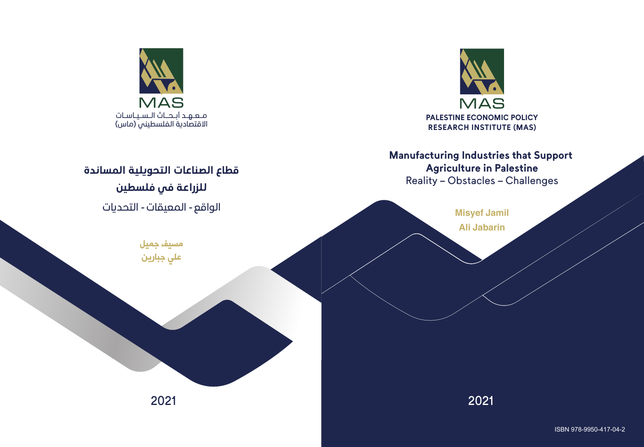

# **Manufacturing Industries that Support Agriculture in Palestine**

Reality – Obstacles – Challenges



2021 2021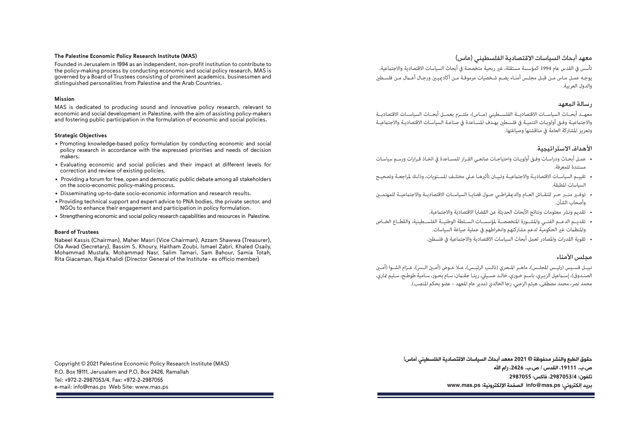#### **The Palestine Economic Policy Research Institute (MAS)**

Founded in Jerusalem in 1994 as an independent, non-profit institution to contribute to the policy-making process by conducting economic and social policy research. MAS is governed by a Board of Trustees consisting of prominent academics, businessmen and distinguished personalities from Palestine and the Arab Countries.

#### **Mission**

MAS is dedicated to producing sound and innovative policy research, relevant to economic and social development in Palestine, with the aim of assisting policy-makers and fostering public participation in the formulation of economic and social policies.

#### **Strategic Objectives**

- Promoting knowledge-based policy formulation by conducting economic and social policy research in accordance with the expressed priorities and needs of decision makers.
- Evaluating economic and social policies and their impact at different levels for correction and review of existing policies.
- Providing a forum for free, open and democratic public debate among all stakeholders on the socio-economic policy-making process.
- Disseminating up-to-date socio-economic information and research results.
- Providing technical support and expert advice to PNA bodies, the private sector, and NGOs to enhance their engagement and participation in policy formulation.
- Strengthening economic and social policy research capabilities and resources in Palestine.

#### **Board of Trustees**

Nabeel Kassis (Chairman), Maher Masri (Vice Chairman), Azzam Shawwa (Treasurer), Ola Awad (Secretary), Bassim S. Khoury, Haitham Zoubi, Ismael Zabri, Khaled Osaily, Mohammad Mustafa, Mohammad Nasr, Salim Tamari, Sam Bahour, Samia Totah, Rita Giacaman, Raja Khalidi (Director General of the Institute - ex officio member)

Copyright © 2021 Palestine Economic Policy Research Institute (MAS) P.O. Box 19111, Jerusalem and P.O. Box 2426, Ramallah Tel: +972-2-2987053/4, Fax: +972-2-2987055 e-mail: info@mas.ps Web Site: www.mas.ps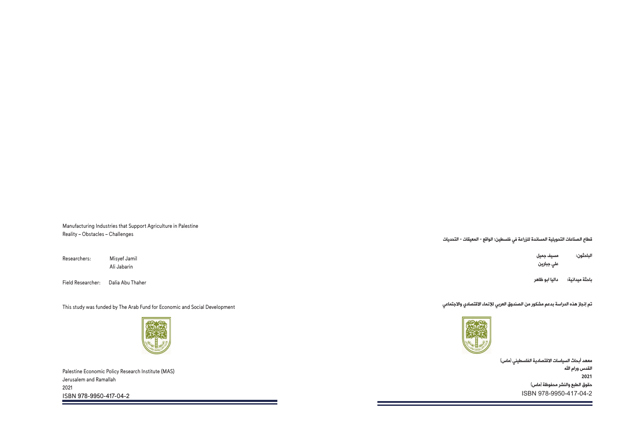Manufacturing Industries that Support Agriculture in Palestine Reality – Obstacles – Challenges

Researchers: Misyef Jamil Ali Jabarin

Field Researcher: Dalia Abu Thaher

This study was funded by The Arab Fund for Economic and Social Development



Palestine Economic Policy Research Institute (MAS) Jerusalem and Ramallah 2021 ISBN 978-9950-417-04-2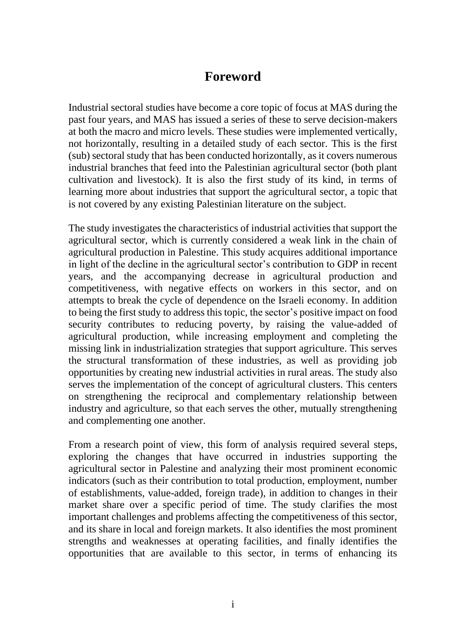### **Foreword**

Industrial sectoral studies have become a core topic of focus at MAS during the past four years, and MAS has issued a series of these to serve decision-makers at both the macro and micro levels. These studies were implemented vertically, not horizontally, resulting in a detailed study of each sector. This is the first (sub) sectoral study that has been conducted horizontally, as it covers numerous industrial branches that feed into the Palestinian agricultural sector (both plant cultivation and livestock). It is also the first study of its kind, in terms of learning more about industries that support the agricultural sector, a topic that is not covered by any existing Palestinian literature on the subject.

The study investigates the characteristics of industrial activities that support the agricultural sector, which is currently considered a weak link in the chain of agricultural production in Palestine. This study acquires additional importance in light of the decline in the agricultural sector's contribution to GDP in recent years, and the accompanying decrease in agricultural production and competitiveness, with negative effects on workers in this sector, and on attempts to break the cycle of dependence on the Israeli economy. In addition to being the first study to address this topic, the sector's positive impact on food security contributes to reducing poverty, by raising the value-added of agricultural production, while increasing employment and completing the missing link in industrialization strategies that support agriculture. This serves the structural transformation of these industries, as well as providing job opportunities by creating new industrial activities in rural areas. The study also serves the implementation of the concept of agricultural clusters. This centers on strengthening the reciprocal and complementary relationship between industry and agriculture, so that each serves the other, mutually strengthening and complementing one another.

From a research point of view, this form of analysis required several steps, exploring the changes that have occurred in industries supporting the agricultural sector in Palestine and analyzing their most prominent economic indicators (such as their contribution to total production, employment, number of establishments, value-added, foreign trade), in addition to changes in their market share over a specific period of time. The study clarifies the most important challenges and problems affecting the competitiveness of this sector, and its share in local and foreign markets. It also identifies the most prominent strengths and weaknesses at operating facilities, and finally identifies the opportunities that are available to this sector, in terms of enhancing its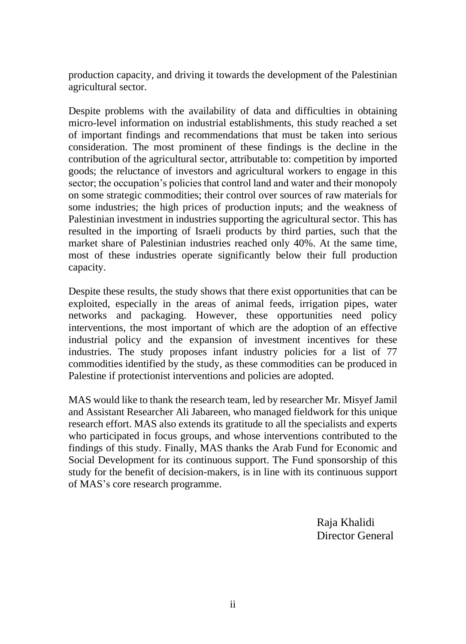production capacity, and driving it towards the development of the Palestinian agricultural sector.

Despite problems with the availability of data and difficulties in obtaining micro-level information on industrial establishments, this study reached a set of important findings and recommendations that must be taken into serious consideration. The most prominent of these findings is the decline in the contribution of the agricultural sector, attributable to: competition by imported goods; the reluctance of investors and agricultural workers to engage in this sector; the occupation's policies that control land and water and their monopoly on some strategic commodities; their control over sources of raw materials for some industries; the high prices of production inputs; and the weakness of Palestinian investment in industries supporting the agricultural sector. This has resulted in the importing of Israeli products by third parties, such that the market share of Palestinian industries reached only 40%. At the same time, most of these industries operate significantly below their full production capacity.

Despite these results, the study shows that there exist opportunities that can be exploited, especially in the areas of animal feeds, irrigation pipes, water networks and packaging. However, these opportunities need policy interventions, the most important of which are the adoption of an effective industrial policy and the expansion of investment incentives for these industries. The study proposes infant industry policies for a list of 77 commodities identified by the study, as these commodities can be produced in Palestine if protectionist interventions and policies are adopted.

MAS would like to thank the research team, led by researcher Mr. Misyef Jamil and Assistant Researcher Ali Jabareen, who managed fieldwork for this unique research effort. MAS also extends its gratitude to all the specialists and experts who participated in focus groups, and whose interventions contributed to the findings of this study. Finally, MAS thanks the Arab Fund for Economic and Social Development for its continuous support. The Fund sponsorship of this study for the benefit of decision-makers, is in line with its continuous support of MAS's core research programme.

> Raja Khalidi Director General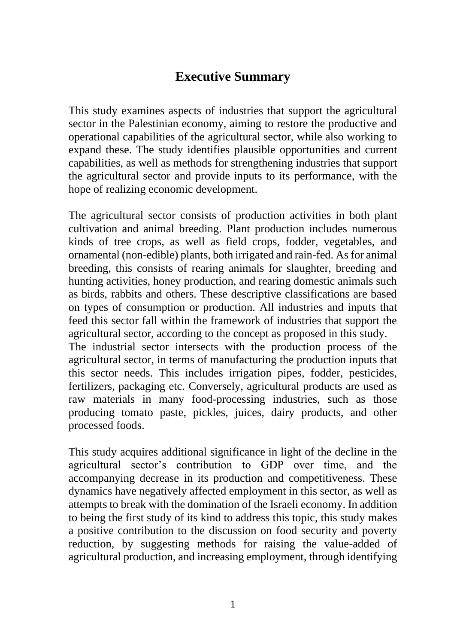## **Executive Summary**

This study examines aspects of industries that support the agricultural sector in the Palestinian economy, aiming to restore the productive and operational capabilities of the agricultural sector, while also working to expand these. The study identifies plausible opportunities and current capabilities, as well as methods for strengthening industries that support the agricultural sector and provide inputs to its performance, with the hope of realizing economic development.

The agricultural sector consists of production activities in both plant cultivation and animal breeding. Plant production includes numerous kinds of tree crops, as well as field crops, fodder, vegetables, and ornamental (non-edible) plants, both irrigated and rain-fed. As for animal breeding, this consists of rearing animals for slaughter, breeding and hunting activities, honey production, and rearing domestic animals such as birds, rabbits and others. These descriptive classifications are based on types of consumption or production. All industries and inputs that feed this sector fall within the framework of industries that support the agricultural sector, according to the concept as proposed in this study. The industrial sector intersects with the production process of the agricultural sector, in terms of manufacturing the production inputs that this sector needs. This includes irrigation pipes, fodder, pesticides, fertilizers, packaging etc. Conversely, agricultural products are used as raw materials in many food-processing industries, such as those producing tomato paste, pickles, juices, dairy products, and other processed foods.

This study acquires additional significance in light of the decline in the agricultural sector's contribution to GDP over time, and the accompanying decrease in its production and competitiveness. These dynamics have negatively affected employment in this sector, as well as attempts to break with the domination of the Israeli economy. In addition to being the first study of its kind to address this topic, this study makes a positive contribution to the discussion on food security and poverty reduction, by suggesting methods for raising the value-added of agricultural production, and increasing employment, through identifying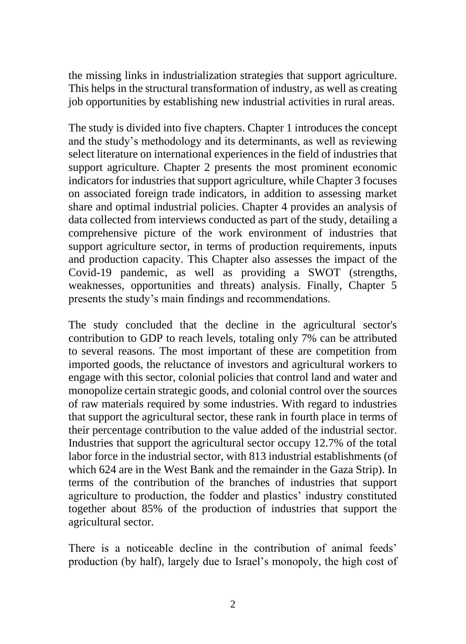the missing links in industrialization strategies that support agriculture. This helps in the structural transformation of industry, as well as creating job opportunities by establishing new industrial activities in rural areas.

The study is divided into five chapters. Chapter 1 introduces the concept and the study's methodology and its determinants, as well as reviewing select literature on international experiences in the field of industries that support agriculture. Chapter 2 presents the most prominent economic indicators for industries that support agriculture, while Chapter 3 focuses on associated foreign trade indicators, in addition to assessing market share and optimal industrial policies. Chapter 4 provides an analysis of data collected from interviews conducted as part of the study, detailing a comprehensive picture of the work environment of industries that support agriculture sector, in terms of production requirements, inputs and production capacity. This Chapter also assesses the impact of the Covid-19 pandemic, as well as providing a SWOT (strengths, weaknesses, opportunities and threats) analysis. Finally, Chapter 5 presents the study's main findings and recommendations.

The study concluded that the decline in the agricultural sector's contribution to GDP to reach levels, totaling only 7% can be attributed to several reasons. The most important of these are competition from imported goods, the reluctance of investors and agricultural workers to engage with this sector, colonial policies that control land and water and monopolize certain strategic goods, and colonial control over the sources of raw materials required by some industries. With regard to industries that support the agricultural sector, these rank in fourth place in terms of their percentage contribution to the value added of the industrial sector. Industries that support the agricultural sector occupy 12.7% of the total labor force in the industrial sector, with 813 industrial establishments (of which 624 are in the West Bank and the remainder in the Gaza Strip). In terms of the contribution of the branches of industries that support agriculture to production, the fodder and plastics' industry constituted together about 85% of the production of industries that support the agricultural sector.

There is a noticeable decline in the contribution of animal feeds' production (by half), largely due to Israel's monopoly, the high cost of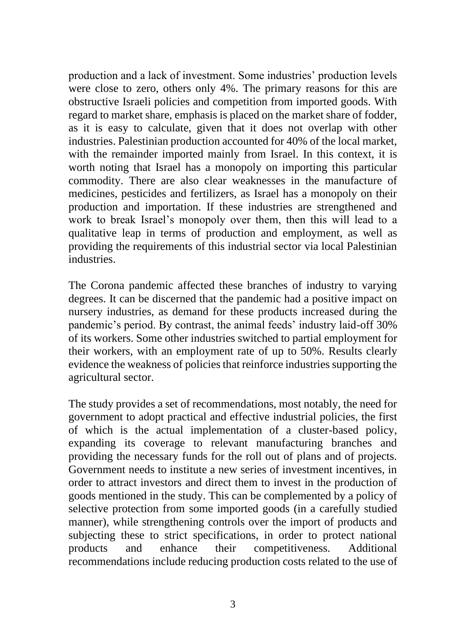production and a lack of investment. Some industries' production levels were close to zero, others only 4%. The primary reasons for this are obstructive Israeli policies and competition from imported goods. With regard to market share, emphasis is placed on the market share of fodder, as it is easy to calculate, given that it does not overlap with other industries. Palestinian production accounted for 40% of the local market, with the remainder imported mainly from Israel. In this context, it is worth noting that Israel has a monopoly on importing this particular commodity. There are also clear weaknesses in the manufacture of medicines, pesticides and fertilizers, as Israel has a monopoly on their production and importation. If these industries are strengthened and work to break Israel's monopoly over them, then this will lead to a qualitative leap in terms of production and employment, as well as providing the requirements of this industrial sector via local Palestinian industries.

The Corona pandemic affected these branches of industry to varying degrees. It can be discerned that the pandemic had a positive impact on nursery industries, as demand for these products increased during the pandemic's period. By contrast, the animal feeds' industry laid-off 30% of its workers. Some other industries switched to partial employment for their workers, with an employment rate of up to 50%. Results clearly evidence the weakness of policies that reinforce industries supporting the agricultural sector.

The study provides a set of recommendations, most notably, the need for government to adopt practical and effective industrial policies, the first of which is the actual implementation of a cluster-based policy, expanding its coverage to relevant manufacturing branches and providing the necessary funds for the roll out of plans and of projects. Government needs to institute a new series of investment incentives, in order to attract investors and direct them to invest in the production of goods mentioned in the study. This can be complemented by a policy of selective protection from some imported goods (in a carefully studied manner), while strengthening controls over the import of products and subjecting these to strict specifications, in order to protect national products and enhance their competitiveness. Additional recommendations include reducing production costs related to the use of